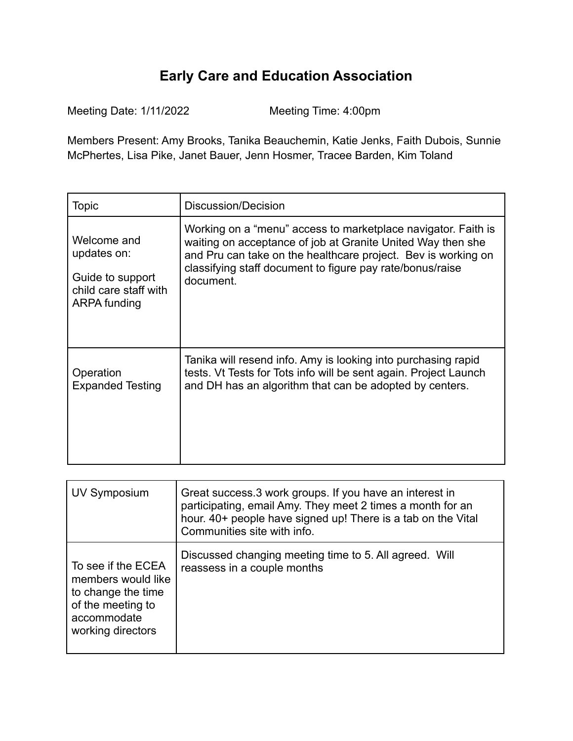## **Early Care and Education Association**

Meeting Date: 1/11/2022 Meeting Time: 4:00pm

Members Present: Amy Brooks, Tanika Beauchemin, Katie Jenks, Faith Dubois, Sunnie McPhertes, Lisa Pike, Janet Bauer, Jenn Hosmer, Tracee Barden, Kim Toland

| Topic                                                                                   | Discussion/Decision                                                                                                                                                                                                                                                     |
|-----------------------------------------------------------------------------------------|-------------------------------------------------------------------------------------------------------------------------------------------------------------------------------------------------------------------------------------------------------------------------|
| Welcome and<br>updates on:<br>Guide to support<br>child care staff with<br>ARPA funding | Working on a "menu" access to marketplace navigator. Faith is<br>waiting on acceptance of job at Granite United Way then she<br>and Pru can take on the healthcare project. Bev is working on<br>classifying staff document to figure pay rate/bonus/raise<br>document. |
| Operation<br><b>Expanded Testing</b>                                                    | Tanika will resend info. Amy is looking into purchasing rapid<br>tests. Vt Tests for Tots info will be sent again. Project Launch<br>and DH has an algorithm that can be adopted by centers.                                                                            |

| UV Symposium                                                                                                            | Great success.3 work groups. If you have an interest in<br>participating, email Amy. They meet 2 times a month for an<br>hour. 40+ people have signed up! There is a tab on the Vital<br>Communities site with info. |
|-------------------------------------------------------------------------------------------------------------------------|----------------------------------------------------------------------------------------------------------------------------------------------------------------------------------------------------------------------|
| To see if the ECEA<br>members would like<br>to change the time<br>of the meeting to<br>accommodate<br>working directors | Discussed changing meeting time to 5. All agreed. Will<br>reassess in a couple months                                                                                                                                |